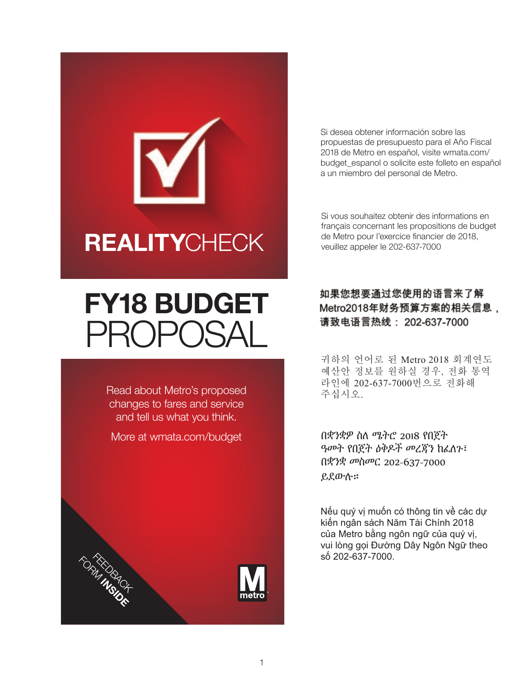

Si desea obtener información sobre las propuestas de presupuesto para el Año Fiscal 2018 de Metro en español, visite wmata.com/ budget\_espanol o solicite este folleto en español a un miembro del personal de Metro.

Si vous souhaitez obtenir des informations en français concernant les propositions de budget de Metro pour l'exercice financier de 2018, veuillez appeler le 202-637-7000

# **FY18 BUDGET** Proposal

Read about Metro's proposed changes to fares and service and tell us what you think.

More at wmata.com/budget

FEEDBACK FORM **INSIDE**



如果您想要通过您使用的语言来了解 Metro2018年财务预算方案的相关信息, 请致电语言热线: 202-637-7000

*‖䞮㦮G㠎㠊⪲G♲G*Metro 2018*G䣢Ἒ㡆☚G* 예산안 정보를 원하실 경우, 전화 통역 라인에 202-637-7000번으로 전화해 *㭒㕃㔲㡺U*

በቋንቋዎ ስለ ሜትሮ 2018 የበጀት ዓመት የበጀት ዕቅዶች መረጃን ከፈለጉ፣ በቋንቋ መስመር 202-637-7000 ይደውሉ።

Nếu quý vị muốn có thông tin về các dự kiến ngân sách Năm Tài Chính 2018 của Metro bằng ngôn ngữ của quý vị, vui lòng gọi Đường Dây Ngôn Ngữ theo số 202-637-7000.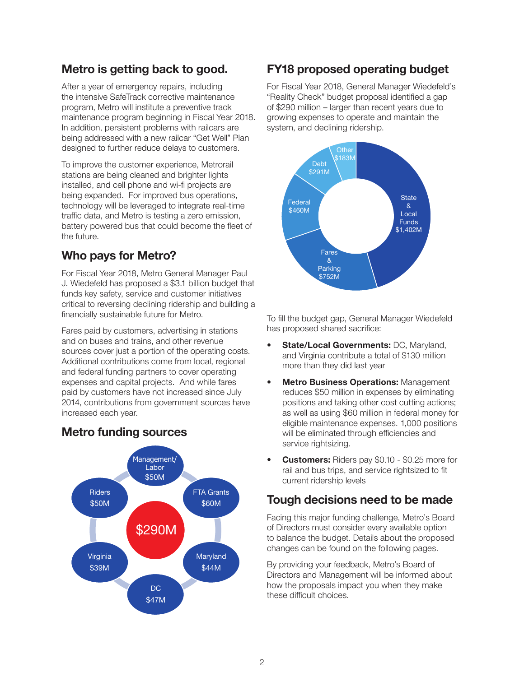## **Metro is getting back to good.**

After a year of emergency repairs, including the intensive SafeTrack corrective maintenance program, Metro will institute a preventive track maintenance program beginning in Fiscal Year 2018. In addition, persistent problems with railcars are being addressed with a new railcar "Get Well" Plan designed to further reduce delays to customers.

To improve the customer experience, Metrorail stations are being cleaned and brighter lights installed, and cell phone and wi-fi projects are being expanded. For improved bus operations, technology will be leveraged to integrate real-time traffic data, and Metro is testing a zero emission, battery powered bus that could become the fleet of the future.

## **Who pays for Metro?**

For Fiscal Year 2018, Metro General Manager Paul J. Wiedefeld has proposed a \$3.1 billion budget that funds key safety, service and customer initiatives critical to reversing declining ridership and building a financially sustainable future for Metro.

Fares paid by customers, advertising in stations and on buses and trains, and other revenue sources cover just a portion of the operating costs. Additional contributions come from local, regional and federal funding partners to cover operating expenses and capital projects. And while fares paid by customers have not increased since July 2014, contributions from government sources have increased each year.



## **Metro funding sources**

## **FY18 proposed operating budget**

For Fiscal Year 2018, General Manager Wiedefeld's "Reality Check" budget proposal identified a gap of \$290 million – larger than recent years due to growing expenses to operate and maintain the system, and declining ridership.



To fill the budget gap, General Manager Wiedefeld has proposed shared sacrifice:

- **State/Local Governments:** DC, Maryland, and Virginia contribute a total of \$130 million more than they did last year
- **Metro Business Operations: Management** reduces \$50 million in expenses by eliminating positions and taking other cost cutting actions; as well as using \$60 million in federal money for eligible maintenance expenses. 1,000 positions will be eliminated through efficiencies and service rightsizing.
- **Customers:** Riders pay \$0.10 \$0.25 more for rail and bus trips, and service rightsized to fit current ridership levels

## **Tough decisions need to be made**

Facing this major funding challenge, Metro's Board of Directors must consider every available option to balance the budget. Details about the proposed changes can be found on the following pages.

By providing your feedback, Metro's Board of Directors and Management will be informed about how the proposals impact you when they make these difficult choices.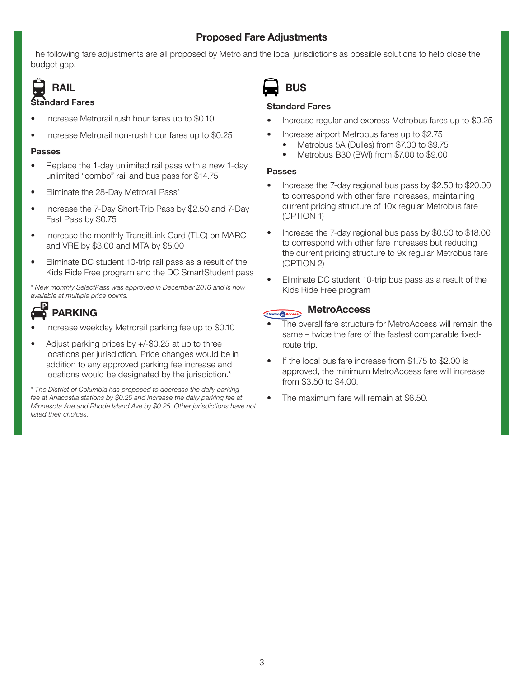### **Proposed Fare Adjustments**

The following fare adjustments are all proposed by Metro and the local jurisdictions as possible solutions to help close the budget gap.

## **RAIL**

#### **Standard Fares**

- Increase Metrorail rush hour fares up to \$0.10
- Increase Metrorail non-rush hour fares up to \$0.25

#### **Passes**

- Replace the 1-day unlimited rail pass with a new 1-day unlimited "combo" rail and bus pass for \$14.75
- Eliminate the 28-Day Metrorail Pass\*
- Increase the 7-Day Short-Trip Pass by \$2.50 and 7-Day Fast Pass by \$0.75
- Increase the monthly TransitLink Card (TLC) on MARC and VRE by \$3.00 and MTA by \$5.00
- Eliminate DC student 10-trip rail pass as a result of the Kids Ride Free program and the DC SmartStudent pass

*\* New monthly SelectPass was approved in December 2016 and is now available at multiple price points.*

## **PARKING**

- Increase weekday Metrorail parking fee up to \$0.10
- Adjust parking prices by  $+/-$ \$0.25 at up to three locations per jurisdiction. Price changes would be in addition to any approved parking fee increase and locations would be designated by the jurisdiction.<sup>\*</sup>

*\* The District of Columbia has proposed to decrease the daily parking fee at Anacostia stations by \$0.25 and increase the daily parking fee at Minnesota Ave and Rhode Island Ave by \$0.25. Other jurisdictions have not listed their choices.*



#### **Standard Fares**

- Increase regular and express Metrobus fares up to \$0.25
- Increase airport Metrobus fares up to \$2.75
	- Metrobus 5A (Dulles) from \$7.00 to \$9.75
	- Metrobus B30 (BWI) from \$7.00 to \$9.00

#### **Passes**

- Increase the 7-day regional bus pass by \$2.50 to \$20.00 to correspond with other fare increases, maintaining current pricing structure of 10x regular Metrobus fare (OPTION 1)
- Increase the 7-day regional bus pass by \$0.50 to \$18.00 to correspond with other fare increases but reducing the current pricing structure to 9x regular Metrobus fare (OPTION 2)
- Eliminate DC student 10-trip bus pass as a result of the Kids Ride Free program

### **MetroAccess**

- The overall fare structure for MetroAccess will remain the same – twice the fare of the fastest comparable fixedroute trip.
- If the local bus fare increase from \$1.75 to \$2.00 is approved, the minimum MetroAccess fare will increase from \$3.50 to \$4.00.
- The maximum fare will remain at \$6.50.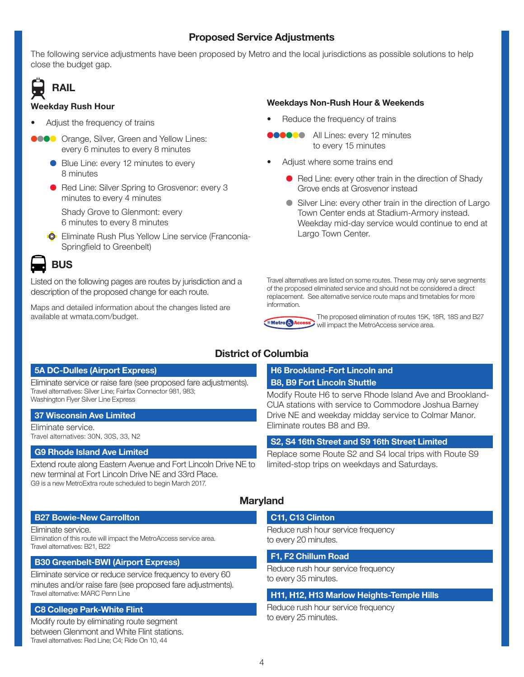### **Proposed Service Adjustments**

The following service adjustments have been proposed by Metro and the local jurisdictions as possible solutions to help close the budget gap.

## **RAIL**

#### **Weekday Rush Hour**

- Adjust the frequency of trains
- **CLO** Orange, Silver, Green and Yellow Lines: every 6 minutes to every 8 minutes
	- **Blue Line: every 12 minutes to every** 8 minutes
	- Red Line: Silver Spring to Grosvenor: every 3 minutes to every 4 minutes

Shady Grove to Glenmont: every 6 minutes to every 8 minutes

**O** Eliminate Rush Plus Yellow Line service (Franconia-Springfield to Greenbelt)

## **BUS**

Listed on the following pages are routes by jurisdiction and a description of the proposed change for each route.

Maps and detailed information about the changes listed are available at wmata.com/budget.

#### **Weekdays Non-Rush Hour & Weekends**

- Reduce the frequency of trains
- **economically** All Lines: every 12 minutes to every 15 minutes
- Adjust where some trains end
	- $\bullet$  Red Line: every other train in the direction of Shady Grove ends at Grosvenor instead
	- $\bullet$  Silver Line: every other train in the direction of Largo Town Center ends at Stadium-Armory instead. Weekday mid-day service would continue to end at Largo Town Center.

Travel alternatives are listed on some routes. These may only serve segments of the proposed eliminated service and should not be considered a direct replacement. See alternative service route maps and timetables for more information.

Modify Route H6 to serve Rhode Island Ave and Brookland-CUA stations with service to Commodore Joshua Barney Drive NE and weekday midday service to Colmar Manor.

**S2, S4 16th Street and S9 16th Street Limited**

limited-stop trips on weekdays and Saturdays.

Replace some Route S2 and S4 local trips with Route S9



The proposed elimination of routes 15K, 18R, 18S and B27 **EMetro & Access** will impact the MetroAccess service area.

## **District of Columbia**

#### **5A DC-Dulles (Airport Express)**

Eliminate service or raise fare (see proposed fare adjustments). Travel alternatives: Silver Line; Fairfax Connector 981, 983; Washington Flyer Silver Line Express

#### **37 Wisconsin Ave Limited**

Eliminate service. Travel alternatives: 30N, 30S, 33, N2

#### **G9 Rhode Island Ave Limited**

Extend route along Eastern Avenue and Fort Lincoln Drive NE to new terminal at Fort Lincoln Drive NE and 33rd Place. G9 is a new MetroExtra route scheduled to begin March 2017.

## **Maryland**

#### **B27 Bowie-New Carrollton**

Eliminate service.

Elimination of this route will impact the MetroAccess service area. Travel alternatives: B21, B22

#### **B30 Greenbelt-BWI (Airport Express)**

Eliminate service or reduce service frequency to every 60 minutes and/or raise fare (see proposed fare adjustments). Travel alternative: MARC Penn Line

#### **C8 College Park-White Flint**

Modify route by eliminating route segment between Glenmont and White Flint stations. Travel alternatives: Red Line; C4; Ride On 10, 44

#### **C11, C13 Clinton**

Reduce rush hour service frequency to every 20 minutes.

**H6 Brookland-Fort Lincoln and B8, B9 Fort Lincoln Shuttle**

Eliminate routes B8 and B9.

#### **F1, F2 Chillum Road**

Reduce rush hour service frequency to every 35 minutes.

#### **H11, H12, H13 Marlow Heights-Temple Hills**

Reduce rush hour service frequency to every 25 minutes.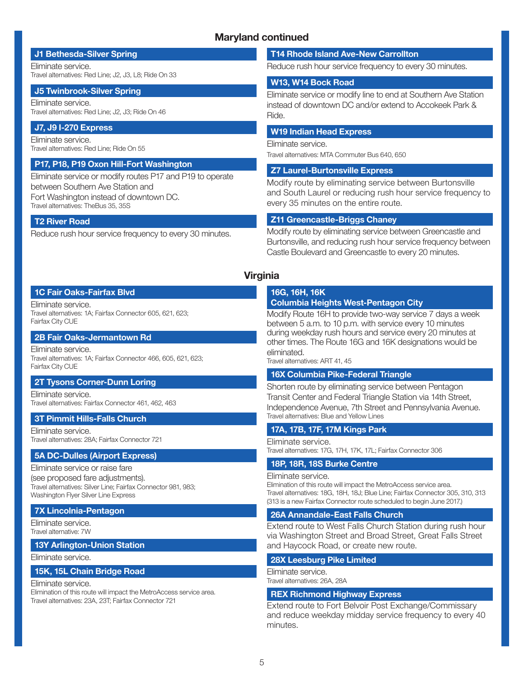#### **Maryland continued**

#### **J1 Bethesda-Silver Spring**

Eliminate service. Travel alternatives: Red Line; J2, J3, L8; Ride On 33

#### **J5 Twinbrook-Silver Spring**

Eliminate service. Travel alternatives: Red Line; J2, J3; Ride On 46

#### **J7, J9 I-270 Express**

Eliminate service. Travel alternatives: Red Line; Ride On 55

#### **P17, P18, P19 Oxon Hill-Fort Washington**

Eliminate service or modify routes P17 and P19 to operate between Southern Ave Station and Fort Washington instead of downtown DC. Travel alternatives: TheBus 35, 35S

#### **T2 River Road**

Reduce rush hour service frequency to every 30 minutes.

**T14 Rhode Island Ave-New Carrollton**

Reduce rush hour service frequency to every 30 minutes.

#### **W13, W14 Bock Road**

Eliminate service or modify line to end at Southern Ave Station instead of downtown DC and/or extend to Accokeek Park & Ride.

#### **W19 Indian Head Express**

Eliminate service.

Travel alternatives: MTA Commuter Bus 640, 650

#### **Z7 Laurel-Burtonsville Express**

Modify route by eliminating service between Burtonsville and South Laurel or reducing rush hour service frequency to every 35 minutes on the entire route.

#### **Z11 Greencastle-Briggs Chaney**

Modify route by eliminating service between Greencastle and Burtonsville, and reducing rush hour service frequency between Castle Boulevard and Greencastle to every 20 minutes.

#### **Virginia**

#### **1C Fair Oaks-Fairfax Blvd**

Eliminate service. Travel alternatives: 1A; Fairfax Connector 605, 621, 623; Fairfax City CUE

#### **2B Fair Oaks-Jermantown Rd**

Eliminate service. Travel alternatives: 1A; Fairfax Connector 466, 605, 621, 623; Fairfax City CUE

#### **2T Tysons Corner-Dunn Loring**

Eliminate service. Travel alternatives: Fairfax Connector 461, 462, 463

#### **3T Pimmit Hills-Falls Church**

Eliminate service. Travel alternatives: 28A; Fairfax Connector 721

#### **5A DC-Dulles (Airport Express)**

Eliminate service or raise fare (see proposed fare adjustments). Travel alternatives: Silver Line; Fairfax Connector 981, 983; Washington Flyer Silver Line Express

#### **7X Lincolnia-Pentagon**

Eliminate service. Travel alternative: 7W

#### **13Y Arlington-Union Station**

Eliminate service.

#### **15K, 15L Chain Bridge Road**

Eliminate service. Elimination of this route will impact the MetroAccess service area. Travel alternatives: 23A, 23T; Fairfax Connector 721

#### **16G, 16H, 16K Columbia Heights West-Pentagon City**

Modify Route 16H to provide two-way service 7 days a week between 5 a.m. to 10 p.m. with service every 10 minutes during weekday rush hours and service every 20 minutes at other times. The Route 16G and 16K designations would be eliminated.

Travel alternatives: ART 41, 45

#### **16X Columbia Pike-Federal Triangle**

Shorten route by eliminating service between Pentagon Transit Center and Federal Triangle Station via 14th Street, Independence Avenue, 7th Street and Pennsylvania Avenue. Travel alternatives: Blue and Yellow Lines

#### **17A, 17B, 17F, 17M Kings Park**

Eliminate service.

Travel alternatives: 17G, 17H, 17K, 17L; Fairfax Connector 306

#### **18P, 18R, 18S Burke Centre**

Eliminate service.

Elimination of this route will impact the MetroAccess service area. Travel alternatives: 18G, 18H, 18J; Blue Line; Fairfax Connector 305, 310, 313 (313 is a new Fairfax Connector route scheduled to begin June 2017.)

#### **26A Annandale-East Falls Church**

Extend route to West Falls Church Station during rush hour via Washington Street and Broad Street, Great Falls Street and Haycock Road, or create new route.

#### **28X Leesburg Pike Limited**

Eliminate service. Travel alternatives: 26A, 28A

#### **REX Richmond Highway Express**

Extend route to Fort Belvoir Post Exchange/Commissary and reduce weekday midday service frequency to every 40 minutes.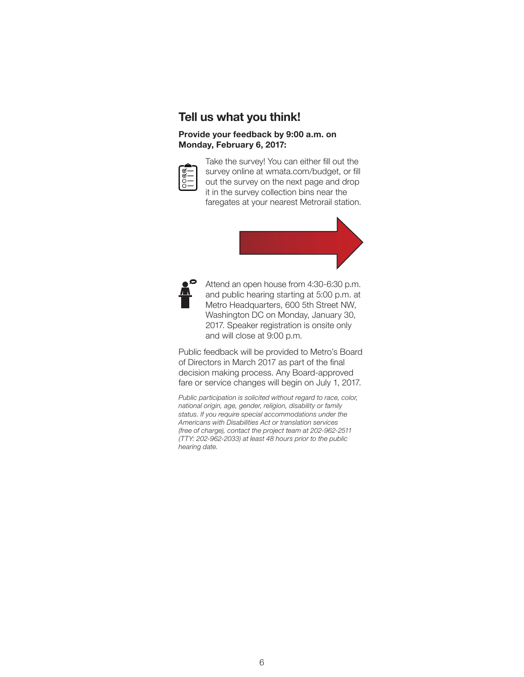## **Tell us what you think!**

#### **Provide your feedback by 9:00 a.m. on Monday, February 6, 2017:**



Take the survey! You can either fill out the survey online at wmata.com/budget, or fill out the survey on the next page and drop it in the survey collection bins near the faregates at your nearest Metrorail station.



Attend an open house from 4:30-6:30 p.m. and public hearing starting at 5:00 p.m. at Metro Headquarters, 600 5th Street NW, Washington DC on Monday, January 30, 2017. Speaker registration is onsite only and will close at 9:00 p.m.

Public feedback will be provided to Metro's Board of Directors in March 2017 as part of the final decision making process. Any Board-approved fare or service changes will begin on July 1, 2017.

*Public participation is solicited without regard to race, color, national origin, age, gender, religion, disability or family status. If you require special accommodations under the Americans with Disabilities Act or translation services (free of charge), contact the project team at 202-962-2511 (TTY: 202-962-2033) at least 48 hours prior to the public hearing date.*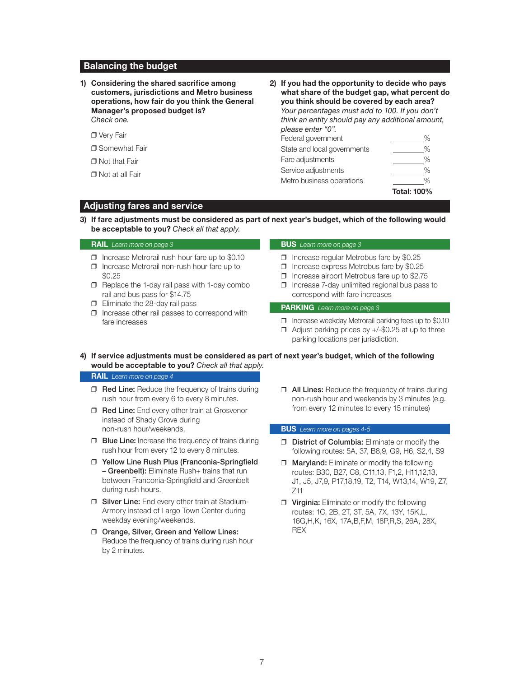#### **Balancing the budget**

- **1) Considering the shared sacrifice among customers, jurisdictions and Metro business operations, how fair do you think the General Manager's proposed budget is?**  *Check one.*
	- **D** Very Fair
	- □ Somewhat Fair
	- $\Box$  Not that Fair
	- $\Box$  Not at all Fair

**2) If you had the opportunity to decide who pays what share of the budget gap, what percent do you think should be covered by each area?**  *Your percentages must add to 100. If you don't think an entity should pay any additional amount, please enter "0".* Federal government  $\%$ State and local governments 2000 Fare adjustments  $\%$ Service adjustments example and the service  $\sim$  0% Metro business operations  $\%$ 

**Total: 100%**

#### **Adjusting fares and service**

**3) If fare adjustments must be considered as part of next year's budget, which of the following would be acceptable to you?** *Check all that apply.*

#### **RAIL** *Learn more on page 3*

- $\Box$  Increase Metrorail rush hour fare up to \$0.10
- $\Box$  Increase Metrorail non-rush hour fare up to \$0.25
- $\Box$  Replace the 1-day rail pass with 1-day combo rail and bus pass for \$14.75
- $\Box$  Eliminate the 28-day rail pass
- $\Box$  Increase other rail passes to correspond with fare increases

#### **BUS** *Learn more on page 3*

- $\Box$  Increase regular Metrobus fare by \$0.25
- $\Box$  Increase express Metrobus fare by \$0.25
- $\Box$  Increase airport Metrobus fare up to \$2.75
- $\Box$  Increase 7-day unlimited regional bus pass to correspond with fare increases

#### **PARKING** *Learn more on page 3*

- $\Box$  Increase weekday Metrorail parking fees up to \$0.10
- $\Box$  Adjust parking prices by  $+/-$ \$0.25 at up to three parking locations per jurisdiction.

**4) If service adjustments must be considered as part of next year's budget, which of the following would be acceptable to you?** *Check all that apply.*

#### **RAIL** *Learn more on page 4*

- $\Box$  Red Line: Reduce the frequency of trains during rush hour from every 6 to every 8 minutes.
- $\Box$  Red Line: End every other train at Grosvenor instead of Shady Grove during non-rush hour/weekends.
- $\Box$  Blue Line: Increase the frequency of trains during rush hour from every 12 to every 8 minutes.
- **J** Yellow Line Rush Plus (Franconia-Springfield – Greenbelt): Eliminate Rush+ trains that run between Franconia-Springfield and Greenbelt during rush hours.
- $\Box$  Silver Line: End every other train at Stadium-Armory instead of Largo Town Center during weekday evening/weekends.
- O Orange, Silver, Green and Yellow Lines: Reduce the frequency of trains during rush hour by 2 minutes.

 $\Box$  All Lines: Reduce the frequency of trains during non-rush hour and weekends by 3 minutes (e.g. from every 12 minutes to every 15 minutes)

#### **BUS** *Learn more on pages 4-5*

- $\Box$  District of Columbia: Eliminate or modify the following routes: 5A, 37, B8,9, G9, H6, S2,4, S9
- $\Box$  Maryland: Eliminate or modify the following routes: B30, B27, C8, C11,13, F1,2, H11,12,13, J1, J5, J7,9, P17,18,19, T2, T14, W13,14, W19, Z7, Z11
- $\Box$  Virginia: Eliminate or modify the following routes: 1C, 2B, 2T, 3T, 5A, 7X, 13Y, 15K,L, 16G,H,K, 16X, 17A,B,F,M, 18P,R,S, 26A, 28X, **REX**